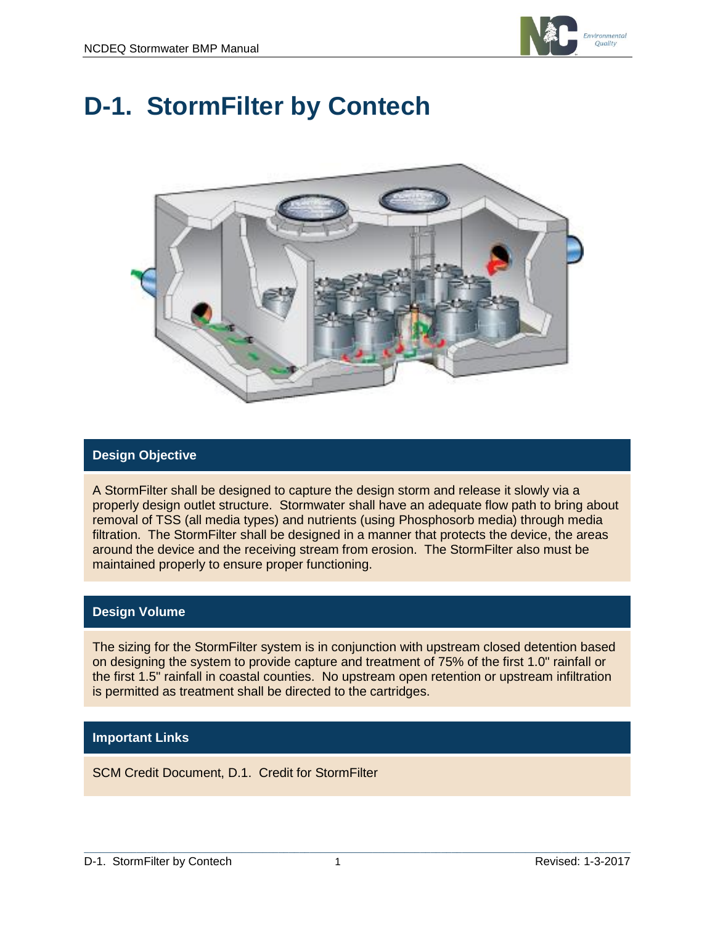

# **D-1. StormFilter by Contech**



## **Design Objective**

A StormFilter shall be designed to capture the design storm and release it slowly via a properly design outlet structure. Stormwater shall have an adequate flow path to bring about removal of TSS (all media types) and nutrients (using Phosphosorb media) through media filtration. The StormFilter shall be designed in a manner that protects the device, the areas around the device and the receiving stream from erosion. The StormFilter also must be maintained properly to ensure proper functioning.

#### **Design Volume**

The sizing for the StormFilter system is in conjunction with upstream closed detention based on designing the system to provide capture and treatment of 75% of the first 1.0" rainfall or the first 1.5" rainfall in coastal counties. No upstream open retention or upstream infiltration is permitted as treatment shall be directed to the cartridges.

#### **Important Links**

SCM Credit Document, D.1. Credit for StormFilter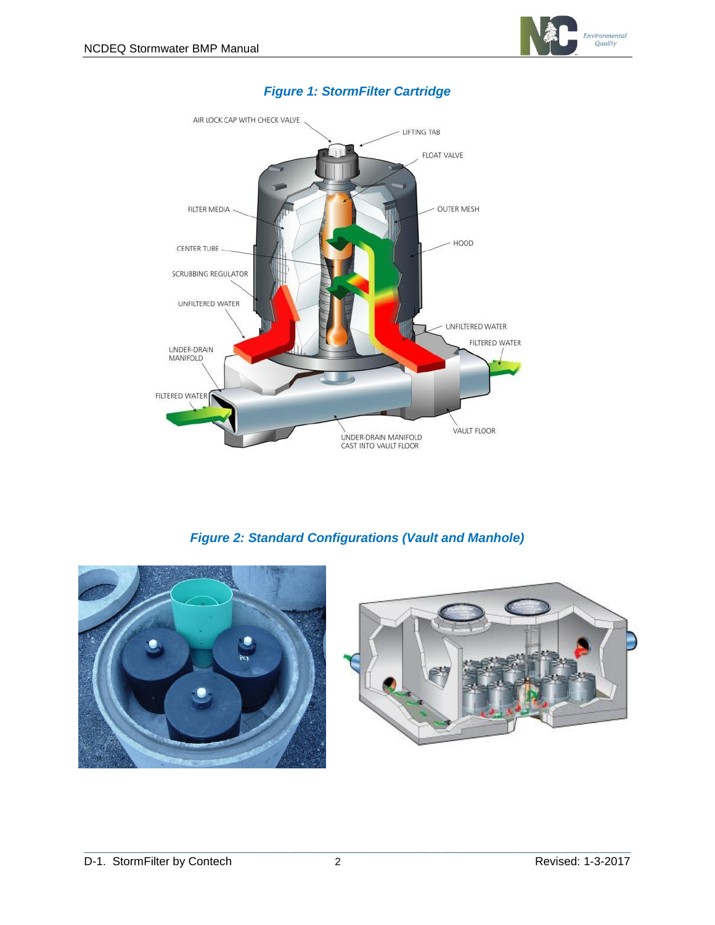



## *Figure 1: StormFilter Cartridge*

*Figure 2: Standard Configurations (Vault and Manhole)*



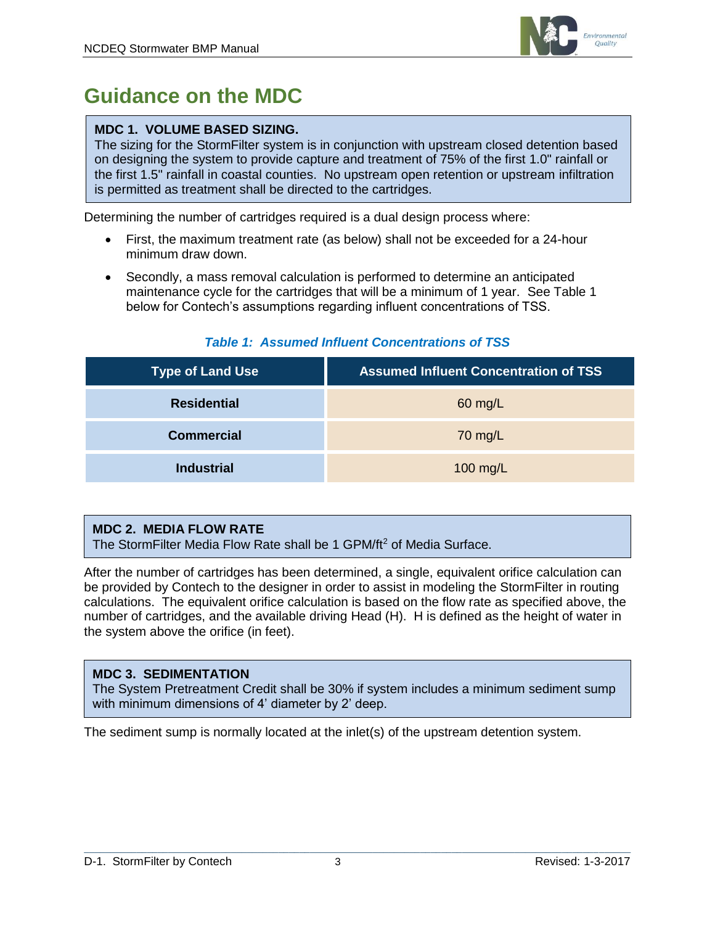

# **Guidance on the MDC**

## **MDC 1. VOLUME BASED SIZING.**

The sizing for the StormFilter system is in conjunction with upstream closed detention based on designing the system to provide capture and treatment of 75% of the first 1.0" rainfall or the first 1.5" rainfall in coastal counties. No upstream open retention or upstream infiltration is permitted as treatment shall be directed to the cartridges.

Determining the number of cartridges required is a dual design process where:

- First, the maximum treatment rate (as below) shall not be exceeded for a 24-hour minimum draw down.
- Secondly, a mass removal calculation is performed to determine an anticipated maintenance cycle for the cartridges that will be a minimum of 1 year. See Table 1 below for Contech's assumptions regarding influent concentrations of TSS.

| <b>Type of Land Use</b> | <b>Assumed Influent Concentration of TSS</b> |
|-------------------------|----------------------------------------------|
| <b>Residential</b>      | $60$ mg/L                                    |
| <b>Commercial</b>       | 70 mg/L                                      |
| <b>Industrial</b>       | 100 mg/L                                     |

## *Table 1: Assumed Influent Concentrations of TSS*

#### **MDC 2. MEDIA FLOW RATE**

The StormFilter Media Flow Rate shall be 1 GPM/ft<sup>2</sup> of Media Surface.

After the number of cartridges has been determined, a single, equivalent orifice calculation can be provided by Contech to the designer in order to assist in modeling the StormFilter in routing calculations. The equivalent orifice calculation is based on the flow rate as specified above, the number of cartridges, and the available driving Head (H). H is defined as the height of water in the system above the orifice (in feet).

#### **MDC 3. SEDIMENTATION**

The System Pretreatment Credit shall be 30% if system includes a minimum sediment sump with minimum dimensions of 4' diameter by 2' deep.

The sediment sump is normally located at the inlet(s) of the upstream detention system.